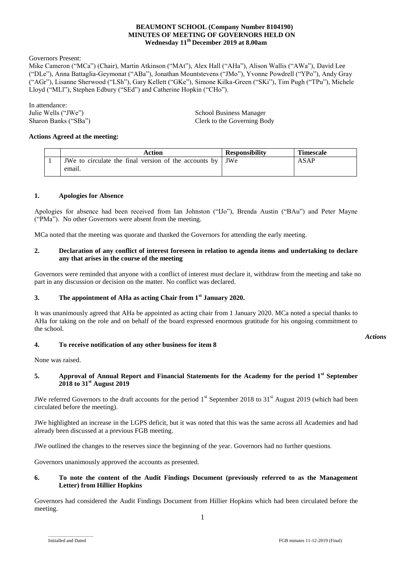## **BEAUMONT SCHOOL (Company Number 8104190) MINUTES OF MEETING OF GOVERNORS HELD ON Wednesday 11 th December 2019 at 8.00am**

Governors Present:

Mike Cameron ("MCa") (Chair), Martin Atkinson ("MAt"), Alex Hall ("AHa"), Alison Wallis ("AWa"), David Lee ("DLe"), Anna Battaglia-Geymonat ("ABa"), Jonathan Mountstevens ("JMo"), Yvonne Powdrell ("YPo"), Andy Gray ("AGr"), Lisanne Sherwood ("LSh"), Gary Kellett ("GKe"), Simone Kilka-Green ("SKi"), Tim Pugh ("TPu"), Michele Lloyd ("MLl"), Stephen Edbury ("SEd") and Catherine Hopkin ("CHo").

In attendance:<br>Julie Wells ("JWe")

Julie Wells ("JWe") School Business Manager<br>Sharon Banks ("SBa") School Business Manager<br>Clerk to the Governing Bo Clerk to the Governing Body

### **Actions Agreed at the meeting:**

| Action                                                      | <b>Responsibility</b> | <b>Timescale</b> |
|-------------------------------------------------------------|-----------------------|------------------|
| JWe to circulate the final version of the accounts by   JWe |                       | ASAP             |
| email.                                                      |                       |                  |

#### **1. Apologies for Absence**

Apologies for absence had been received from Ian Johnston ("IJo"), Brenda Austin ("BAu") and Peter Mayne ("PMa"). No other Governors were absent from the meeting.

MCa noted that the meeting was quorate and thanked the Governors for attending the early meeting.

#### **2. Declaration of any conflict of interest foreseen in relation to agenda items and undertaking to declare any that arises in the course of the meeting**

Governors were reminded that anyone with a conflict of interest must declare it, withdraw from the meeting and take no part in any discussion or decision on the matter. No conflict was declared.

## **3. The appointment of AHa as acting Chair from 1st January 2020.**

It was unanimously agreed that AHa be appointed as acting chair from 1 January 2020. MCa noted a special thanks to AHa for taking on the role and on behalf of the board expressed enormous gratitude for his ongoing commitment to the school.

### **4. To receive notification of any other business for item 8**

None was raised.

## **5. Approval of Annual Report and Financial Statements for the Academy for the period 1st September 2018 to 31st August 2019**

JWe referred Governors to the draft accounts for the period  $1<sup>st</sup>$  September 2018 to 31 $<sup>st</sup>$  August 2019 (which had been</sup> circulated before the meeting).

JWe highlighted an increase in the LGPS deficit, but it was noted that this was the same across all Academies and had already been discussed at a previous FGB meeting.

JWe outlined the changes to the reserves since the beginning of the year. Governors had no further questions.

Governors unanimously approved the accounts as presented.

## **6. To note the content of the Audit Findings Document (previously referred to as the Management Letter) from Hillier Hopkins**

Governors had considered the Audit Findings Document from Hillier Hopkins which had been circulated before the meeting.

*Actions*